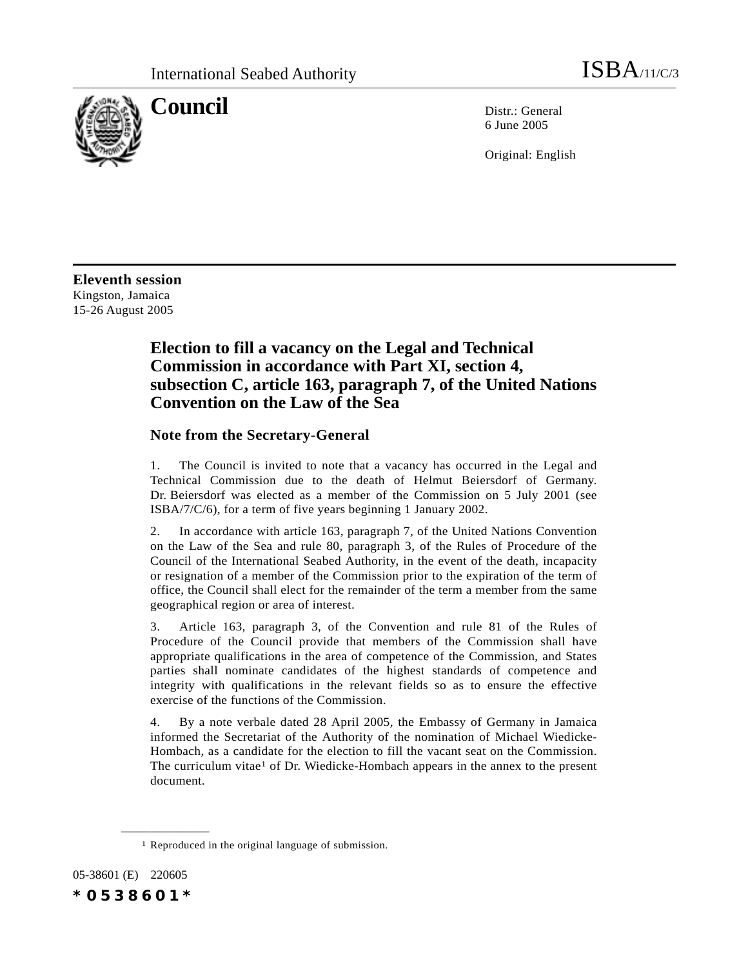

**Council** Distribution Distribution Distribution Distribution Distribution Distribution Distribution Distribution Distribution Distribution Distribution Distribution Distribution Distribution Distribution Distribution Dist 6 June 2005

Original: English

**Eleventh session** Kingston, Jamaica 15-26 August 2005

## **Election to fill a vacancy on the Legal and Technical Commission in accordance with Part XI, section 4, subsection C, article 163, paragraph 7, of the United Nations Convention on the Law of the Sea**

## **Note from the Secretary-General**

1. The Council is invited to note that a vacancy has occurred in the Legal and Technical Commission due to the death of Helmut Beiersdorf of Germany. Dr. Beiersdorf was elected as a member of the Commission on 5 July 2001 (see ISBA/7/C/6), for a term of five years beginning 1 January 2002.

2. In accordance with article 163, paragraph 7, of the United Nations Convention on the Law of the Sea and rule 80, paragraph 3, of the Rules of Procedure of the Council of the International Seabed Authority, in the event of the death, incapacity or resignation of a member of the Commission prior to the expiration of the term of office, the Council shall elect for the remainder of the term a member from the same geographical region or area of interest.

3. Article 163, paragraph 3, of the Convention and rule 81 of the Rules of Procedure of the Council provide that members of the Commission shall have appropriate qualifications in the area of competence of the Commission, and States parties shall nominate candidates of the highest standards of competence and integrity with qualifications in the relevant fields so as to ensure the effective exercise of the functions of the Commission.

4. By a note verbale dated 28 April 2005, the Embassy of Germany in Jamaica informed the Secretariat of the Authority of the nomination of Michael Wiedicke-Hombach, as a candidate for the election to fill the vacant seat on the Commission. The curriculum vitae<sup>1</sup> of Dr. Wiedicke-Hombach appears in the annex to the present document.

05-38601 (E) 220605 *\*0538601\**

**\_\_\_\_\_\_\_\_\_\_\_\_\_\_\_\_\_\_**

<sup>1</sup> Reproduced in the original language of submission.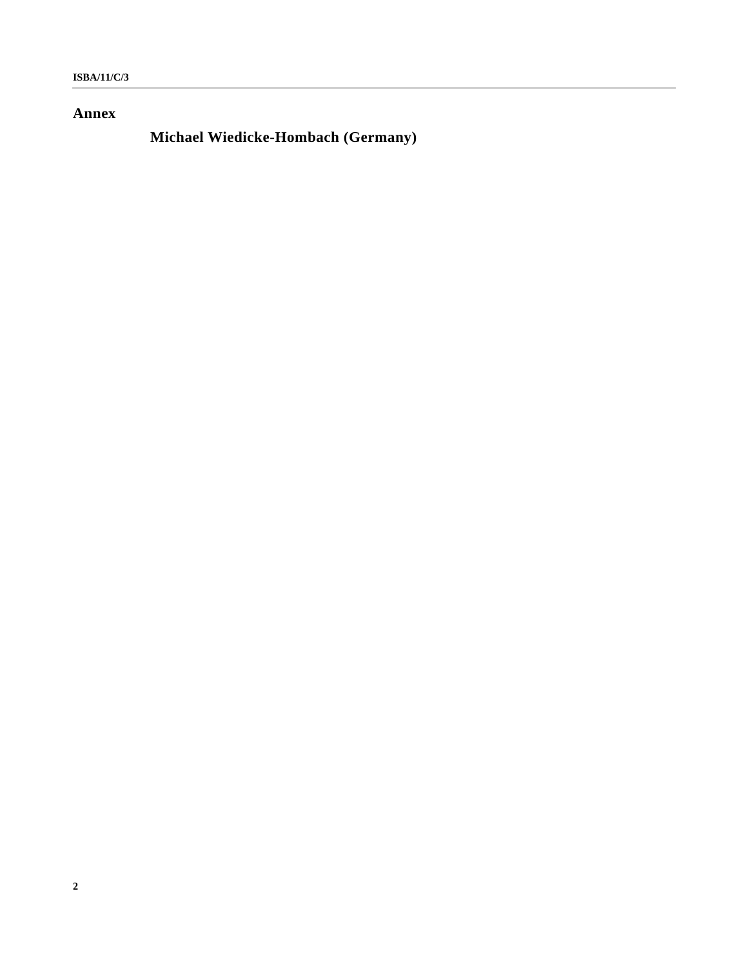## **Annex**

## **Michael Wiedicke-Hombach (Germany)**